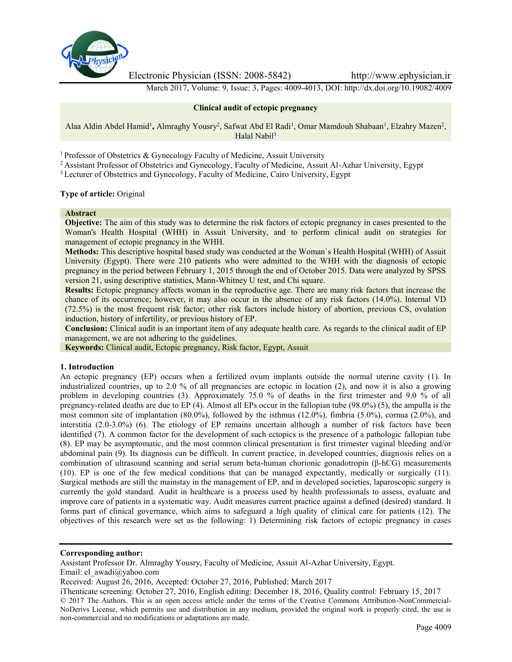

Electronic Physician (ISSN: 2008-5842) http://www.ephysician.ir

March 2017, Volume: 9, Issue: 3, Pages: 4009-4013, DOI: http://dx.doi.org/10.19082/4009

### **Clinical audit of ectopic pregnancy**

Alaa Aldin Abdel Hamid<sup>1</sup>, Almraghy Yousry<sup>2</sup>, Safwat Abd El Radi<sup>1</sup>, Omar Mamdouh Shabaan<sup>1</sup>, Elzahry Mazen<sup>2</sup>, Halal Nabil<sup>3</sup>

<sup>1</sup> Professor of Obstetrics & Gynecology Faculty of Medicine, Assuit University

<sup>2</sup> Assistant Professor of Obstetrics and Gynecology, Faculty of Medicine, Assuit Al-Azhar University, Egypt

<sup>3</sup> Lecturer of Obstetrics and Gynecology, Faculty of Medicine, Cairo University, Egypt

**Type of article:** Original

#### **Abstract**

**Objective:** The aim of this study was to determine the risk factors of ectopic pregnancy in cases presented to the Woman's Health Hospital (WHH) in Assuit University, and to perform clinical audit on strategies for management of ectopic pregnancy in the WHH.

**Methods:** This descriptive hospital based study was conducted at the Woman`s Health Hospital (WHH) of Assuit University (Egypt). There were 210 patients who were admitted to the WHH with the diagnosis of ectopic pregnancy in the period between February 1, 2015 through the end of October 2015. Data were analyzed by SPSS version 21, using descriptive statistics, Mann-Whitney U test, and Chi square.

**Results:** Ectopic pregnancy affects woman in the reproductive age. There are many risk factors that increase the chance of its occurrence; however, it may also occur in the absence of any risk factors (14.0%). Internal VD (72.5%) is the most frequent risk factor; other risk factors include history of abortion, previous CS, ovulation induction, history of infertility, or previous history of EP.

**Conclusion:** Clinical audit is an important item of any adequate health care. As regards to the clinical audit of EP management, we are not adhering to the guidelines.

**Keywords:** Clinical audit, Ectopic pregnancy, Risk factor, Egypt, Assuit

### **1. Introduction**

An ectopic pregnancy (EP) occurs when a fertilized ovum implants outside the normal uterine cavity (1). In industrialized countries, up to 2.0 % of all pregnancies are ectopic in location (2), and now it is also a growing problem in developing countries (3). Approximately 75.0 % of deaths in the first trimester and 9.0 % of all pregnancy-related deaths are due to EP (4). Almost all EPs occur in the fallopian tube (98.0%) (5), the ampulla is the most common site of implantation (80.0%), followed by the isthmus (12.0%), fimbria (5.0%), cornua (2.0%), and interstitia (2.0-3.0%) (6). The etiology of EP remains uncertain although a number of risk factors have been identified (7). A common factor for the development of such ectopics is the presence of a pathologic fallopian tube (8). EP may be asymptomatic, and the most common clinical presentation is first trimester vaginal bleeding and/or abdominal pain (9). Its diagnosis can be difficult. In current practice, in developed countries, diagnosis relies on a combination of ultrasound scanning and serial serum beta-human chorionic gonadotropin (β-hCG) measurements (10). EP is one of the few medical conditions that can be managed expectantly, medically or surgically (11). Surgical methods are still the mainstay in the management of EP, and in developed societies, laparoscopic surgery is currently the gold standard. Audit in healthcare is a process used by health professionals to assess, evaluate and improve care of patients in a systematic way. Audit measures current practice against a defined (desired) standard. It forms part of clinical governance, which aims to safeguard a high quality of clinical care for patients (12). The objectives of this research were set as the following: 1) Determining risk factors of ectopic pregnancy in cases

# **Corresponding author:**

Assistant Professor Dr. Almraghy Yousry, Faculty of Medicine, Assuit Al-Azhar University, Egypt. Email: el\_awadi@yahoo.com

Received: August 26, 2016, Accepted: October 27, 2016, Published: March 2017

iThenticate screening: October 27, 2016, English editing: December 18, 2016, Quality control: February 15, 2017 © 2017 The Authors. This is an open access article under the terms of the Creative Commons Attribution-NonCommercial- NoDerivs License, which permits use and distribution in any medium, provided the original work is properly cited, the use is non-commercial and no modifications or adaptations are made.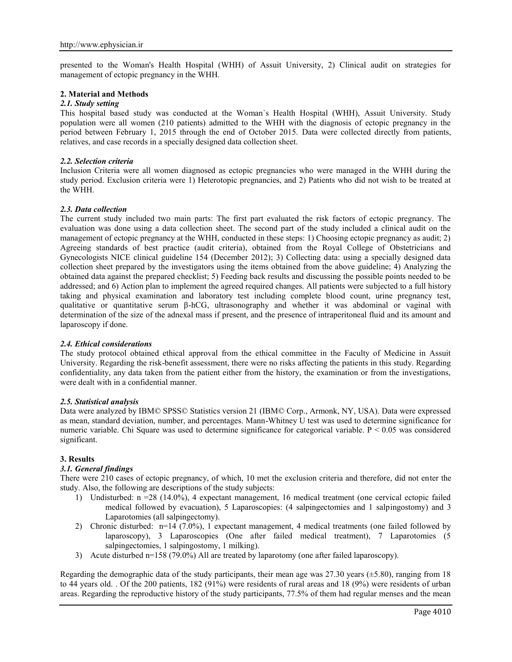presented to the Woman's Health Hospital (WHH) of Assuit University, 2) Clinical audit on strategies for management of ectopic pregnancy in the WHH.

### **2. Material and Methods**

### *2.1. Study setting*

This hospital based study was conducted at the Woman`s Health Hospital (WHH), Assuit University. Study population were all women (210 patients) admitted to the WHH with the diagnosis of ectopic pregnancy in the period between February 1, 2015 through the end of October 2015. Data were collected directly from patients, relatives, and case records in a specially designed data collection sheet.

### *2.2. Selection criteria*

Inclusion Criteria were all women diagnosed as ectopic pregnancies who were managed in the WHH during the study period. Exclusion criteria were 1) Heterotopic pregnancies, and 2) Patients who did not wish to be treated at the WHH.

### *2.3. Data collection*

The current study included two main parts: The first part evaluated the risk factors of ectopic pregnancy. The evaluation was done using a data collection sheet. The second part of the study included a clinical audit on the management of ectopic pregnancy at the WHH, conducted in these steps: 1) Choosing ectopic pregnancy as audit; 2) Agreeing standards of best practice (audit criteria), obtained from the Royal College of Obstetricians and Gynecologists NICE clinical guideline 154 (December 2012); 3) Collecting data: using a specially designed data collection sheet prepared by the investigators using the items obtained from the above guideline; 4) Analyzing the obtained data against the prepared checklist; 5) Feeding back results and discussing the possible points needed to be addressed; and 6) Action plan to implement the agreed required changes. All patients were subjected to a full history taking and physical examination and laboratory test including complete blood count, urine pregnancy test, qualitative or quantitative serum β-hCG, ultrasonography and whether it was abdominal or vaginal with determination of the size of the adnexal mass if present, and the presence of intraperitoneal fluid and its amount and laparoscopy if done.

### *2.4. Ethical considerations*

The study protocol obtained ethical approval from the ethical committee in the Faculty of Medicine in Assuit University. Regarding the risk-benefit assessment, there were no risks affecting the patients in this study. Regarding confidentiality, any data taken from the patient either from the history, the examination or from the investigations, were dealt with in a confidential manner.

### *2.5. Statistical analysis*

Data were analyzed by IBM© SPSS© Statistics version 21 (IBM© Corp., Armonk, NY, USA). Data were expressed as mean, standard deviation, number, and percentages. Mann-Whitney U test was used to determine significance for numeric variable. Chi Square was used to determine significance for categorical variable.  $P \le 0.05$  was considered significant.

## **3. Results**

## *3.1. General findings*

There were 210 cases of ectopic pregnancy, of which, 10 met the exclusion criteria and therefore, did not enter the study. Also, the following are descriptions of the study subjects:

- 1) Undisturbed: n =28 (14.0%), 4 expectant management, 16 medical treatment (one cervical ectopic failed medical followed by evacuation), 5 Laparoscopies: (4 salpingectomies and 1 salpingostomy) and 3 Laparotomies (all salpingectomy).
- 2) Chronic disturbed: n=14 (7.0%), 1 expectant management, 4 medical treatments (one failed followed by laparoscopy), 3 Laparoscopies (One after failed medical treatment), 7 Laparotomies (5 salpingectomies, 1 salpingostomy, 1 milking).
- 3) Acute disturbed n=158 (79.0%) All are treated by laparotomy (one after failed laparoscopy).

Regarding the demographic data of the study participants, their mean age was  $27.30$  years ( $\pm$ 5.80), ranging from 18 to 44 years old. . Of the 200 patients, 182 (91%) were residents of rural areas and 18 (9%) were residents of urban areas. Regarding the reproductive history of the study participants, 77.5% of them had regular menses and the mean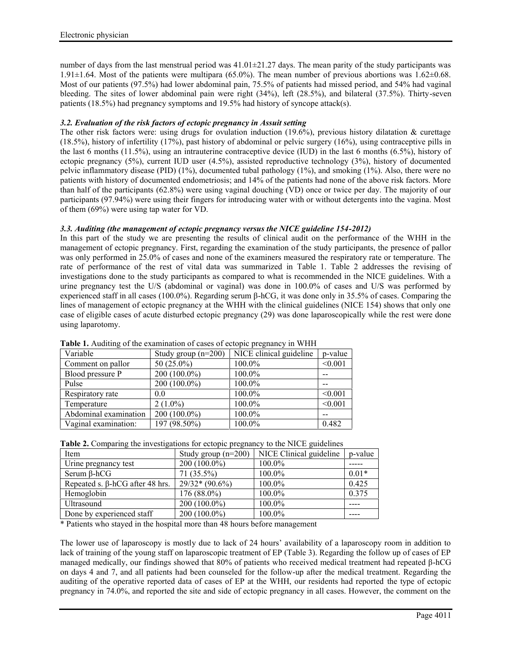number of days from the last menstrual period was  $41.01\pm21.27$  days. The mean parity of the study participants was 1.91 $\pm$ 1.64. Most of the patients were multipara (65.0%). The mean number of previous abortions was 1.62 $\pm$ 0.68. Most of our patients (97.5%) had lower abdominal pain, 75.5% of patients had missed period, and 54% had vaginal bleeding. The sites of lower abdominal pain were right (34%), left (28.5%), and bilateral (37.5%). Thirty-seven patients (18.5%) had pregnancy symptoms and 19.5% had history of syncope attack(s).

# *3.2. Evaluation of the risk factors of ectopic pregnancy in Assuit setting*

The other risk factors were: using drugs for ovulation induction (19.6%), previous history dilatation & curettage (18.5%), history of infertility (17%), past history of abdominal or pelvic surgery (16%), using contraceptive pills in the last 6 months (11.5%), using an intrauterine contraceptive device (IUD) in the last 6 months (6.5%), history of ectopic pregnancy (5%), current IUD user (4.5%), assisted reproductive technology (3%), history of documented pelvic inflammatory disease (PID) (1%), documented tubal pathology (1%), and smoking (1%). Also, there were no patients with history of documented endometriosis; and 14% of the patients had none of the above risk factors. More than half of the participants (62.8%) were using vaginal douching (VD) once or twice per day. The majority of our participants (97.94%) were using their fingers for introducing water with or without detergents into the vagina. Most of them (69%) were using tap water for VD.

## *3.3. Auditing (the management of ectopic pregnancy versus the NICE guideline 154-2012)*

In this part of the study we are presenting the results of clinical audit on the performance of the WHH in the management of ectopic pregnancy. First, regarding the examination of the study participants, the presence of pallor was only performed in 25.0% of cases and none of the examiners measured the respiratory rate or temperature. The rate of performance of the rest of vital data was summarized in Table 1. Table 2 addresses the revising of investigations done to the study participants as compared to what is recommended in the NICE guidelines. With a urine pregnancy test the U/S (abdominal or vaginal) was done in 100.0% of cases and U/S was performed by experienced staff in all cases (100.0%). Regarding serum β-hCG, it was done only in 35.5% of cases. Comparing the lines of management of ectopic pregnancy at the WHH with the clinical guidelines (NICE 154) shows that only one case of eligible cases of acute disturbed ectopic pregnancy (29) was done laparoscopically while the rest were done using laparotomy.

| Variable              | Study group $(n=200)$ | NICE clinical guideline | p-value |
|-----------------------|-----------------------|-------------------------|---------|
| Comment on pallor     | 50 $(25.0\%)$         | 100.0%                  | < 0.001 |
| Blood pressure P      | $200(100.0\%)$        | 100.0%                  |         |
| Pulse                 | $200(100.0\%)$        | 100.0%                  |         |
| Respiratory rate      | 0.0                   | 100.0%                  | < 0.001 |
| Temperature           | $2(1.0\%)$            | 100.0%                  | < 0.001 |
| Abdominal examination | $200(100.0\%)$        | 100.0%                  |         |
| Vaginal examination:  | 197 (98.50%)          | 100.0%                  | 0.482   |

**Table 1.** Auditing of the examination of cases of ectopic pregnancy in WHH

| Table 2. Comparing the investigations for ectopic pregnancy to the NICE guidelines |
|------------------------------------------------------------------------------------|
|------------------------------------------------------------------------------------|

| Item                                   | Study group $(n=200)$ | NICE Clinical guideline | p-value |
|----------------------------------------|-----------------------|-------------------------|---------|
| Urine pregnancy test                   | $200(100.0\%)$        | $100.0\%$               |         |
| Serum $\beta$ -hCG                     | 71 (35.5%)            | $100.0\%$               | $0.01*$ |
| Repeated s. $\beta$ -hCG after 48 hrs. | $29/32*(90.6\%)$      | 100.0%                  | 0.425   |
| Hemoglobin                             | $176(88.0\%)$         | $100.0\%$               | 0.375   |
| Ultrasound                             | $200(100.0\%)$        | 100.0%                  |         |
| Done by experienced staff              | $200(100.0\%)$        | 100.0%                  |         |

\* Patients who stayed in the hospital more than 48 hours before management

The lower use of laparoscopy is mostly due to lack of 24 hours' availability of a laparoscopy room in addition to lack of training of the young staff on laparoscopic treatment of EP (Table 3). Regarding the follow up of cases of EP managed medically, our findings showed that 80% of patients who received medical treatment had repeated β-hCG on days 4 and 7, and all patients had been counseled for the follow-up after the medical treatment. Regarding the auditing of the operative reported data of cases of EP at the WHH, our residents had reported the type of ectopic pregnancy in 74.0%, and reported the site and side of ectopic pregnancy in all cases. However, the comment on the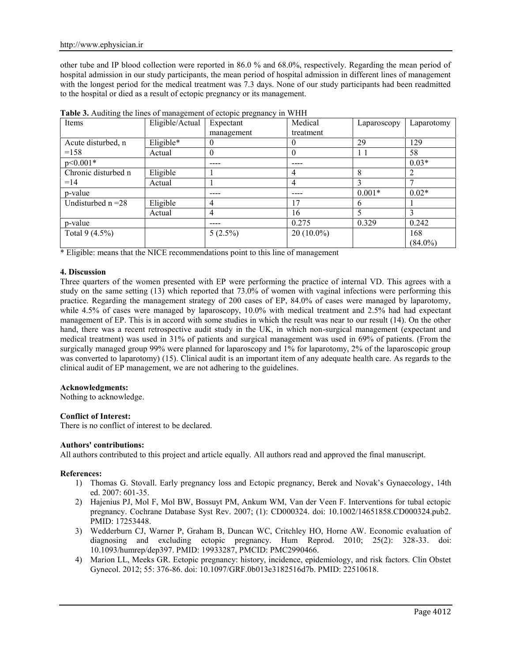other tube and IP blood collection were reported in 86.0 % and 68.0%, respectively. Regarding the mean period of hospital admission in our study participants, the mean period of hospital admission in different lines of management with the longest period for the medical treatment was 7.3 days. None of our study participants had been readmitted to the hospital or died as a result of ectopic pregnancy or its management.

| Items                | Eligible/Actual | Expectant  | Medical      | Laparoscopy | Laparotomy     |
|----------------------|-----------------|------------|--------------|-------------|----------------|
|                      |                 | management | treatment    |             |                |
| Acute disturbed, n   | Eligible*       | 0          |              | 29          | 129            |
| $=158$               | Actual          | 0          | $\theta$     | 11          | 58             |
| $p<0.001*$           |                 |            | ----         |             | $0.03*$        |
| Chronic disturbed n  | Eligible        |            | 4            | 8           | $\overline{2}$ |
| $=14$                | Actual          |            | 4            |             | $\overline{ }$ |
| p-value              |                 | ----       | ----         | $0.001*$    | $0.02*$        |
| Undisturbed $n = 28$ | Eligible        | 4          | . 7          | 6           |                |
|                      | Actual          | 4          | 16           |             |                |
| p-value              |                 |            | 0.275        | 0.329       | 0.242          |
| Total $9(4.5\%)$     |                 | $5(2.5\%)$ | $20(10.0\%)$ |             | 168            |
|                      |                 |            |              |             | $(84.0\%)$     |

**Table 3.** Auditing the lines of management of ectopic pregnancy in WHH

\* Eligible: means that the NICE recommendations point to this line of management

### **4. Discussion**

Three quarters of the women presented with EP were performing the practice of internal VD. This agrees with a study on the same setting (13) which reported that 73.0% of women with vaginal infections were performing this practice. Regarding the management strategy of 200 cases of EP, 84.0% of cases were managed by laparotomy, while 4.5% of cases were managed by laparoscopy, 10.0% with medical treatment and 2.5% had had expectant management of EP. This is in accord with some studies in which the result was near to our result (14). On the other hand, there was a recent retrospective audit study in the UK, in which non-surgical management (expectant and medical treatment) was used in 31% of patients and surgical management was used in 69% of patients. (From the surgically managed group 99% were planned for laparoscopy and 1% for laparotomy, 2% of the laparoscopic group was converted to laparotomy) (15). Clinical audit is an important item of any adequate health care. As regards to the clinical audit of EP management, we are not adhering to the guidelines.

## **Acknowledgments:**

Nothing to acknowledge.

## **Conflict of Interest:**

There is no conflict of interest to be declared.

### **Authors' contributions:**

All authors contributed to this project and article equally. All authors read and approved the final manuscript.

### **References:**

- 1) Thomas G. Stovall. Early pregnancy loss and Ectopic pregnancy, Berek and Novak's Gynaecology, 14th ed. 2007: 601-35.
- 2) Hajenius PJ, Mol F, Mol BW, Bossuyt PM, Ankum WM, Van der Veen F. Interventions for tubal ectopic pregnancy. Cochrane Database Syst Rev. 2007; (1): CD000324. doi: 10.1002/14651858.CD000324.pub2. PMID: 17253448.
- 3) Wedderburn CJ, Warner P, Graham B, Duncan WC, Critchley HO, Horne AW. Economic evaluation of diagnosing and excluding ectopic pregnancy. Hum Reprod. 2010; 25(2): 328-33. doi: 10.1093/humrep/dep397. PMID: 19933287, PMCID: PMC2990466.
- 4) Marion LL, Meeks GR. Ectopic pregnancy: history, incidence, epidemiology, and risk factors. Clin Obstet Gynecol. 2012; 55: 376-86. doi: 10.1097/GRF.0b013e3182516d7b. PMID: 22510618.